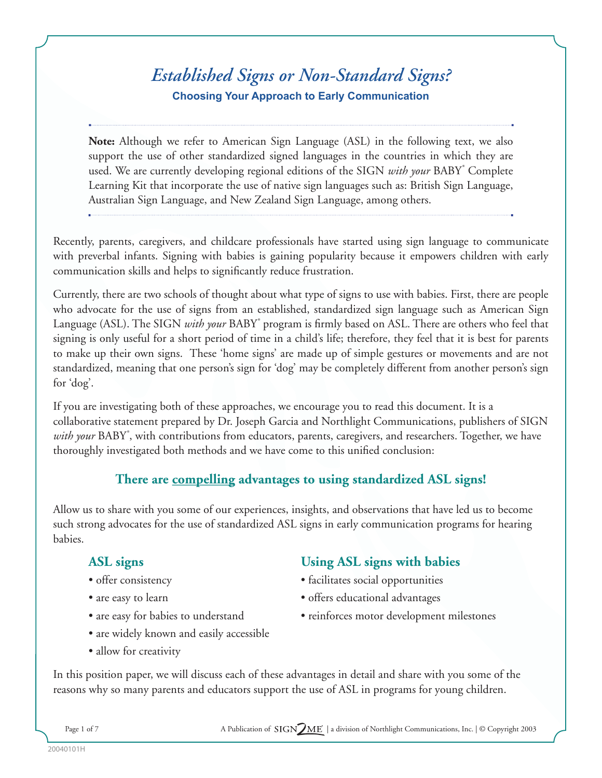# *Established Signs or Non-Standard Signs?* **Choosing Your Approach to Early Communication**

**Note:** Although we refer to American Sign Language (ASL) in the following text, we also support the use of other standardized signed languages in the countries in which they are used. We are currently developing regional editions of the SIGN *with your* BABY<sup>®</sup> Complete Learning Kit that incorporate the use of native sign languages such as: British Sign Language, Australian Sign Language, and New Zealand Sign Language, among others.

Recently, parents, caregivers, and childcare professionals have started using sign language to communicate with preverbal infants. Signing with babies is gaining popularity because it empowers children with early communication skills and helps to significantly reduce frustration.

Currently, there are two schools of thought about what type of signs to use with babies. First, there are people who advocate for the use of signs from an established, standardized sign language such as American Sign Language (ASL). The SIGN *with your* BABY<sup>°</sup> program is firmly based on ASL. There are others who feel that signing is only useful for a short period of time in a child's life; therefore, they feel that it is best for parents to make up their own signs. These 'home signs' are made up of simple gestures or movements and are not standardized, meaning that one person's sign for 'dog' may be completely different from another person's sign for 'dog'.

If you are investigating both of these approaches, we encourage you to read this document. It is a collaborative statement prepared by Dr. Joseph Garcia and Northlight Communications, publishers of SIGN with your BABY<sup>®</sup>, with contributions from educators, parents, caregivers, and researchers. Together, we have thoroughly investigated both methods and we have come to this unified conclusion:

## **There are compelling advantages to using standardized ASL signs!**

Allow us to share with you some of our experiences, insights, and observations that have led us to become such strong advocates for the use of standardized ASL signs in early communication programs for hearing babies.

- 
- 
- 
- are widely known and easily accessible
- allow for creativity

## **ASL signs Using ASL signs with babies**

- offer consistency facilitates social opportunities
- are easy to learn offers educational advantages
- are easy for babies to understand reinforces motor development milestones

In this position paper, we will discuss each of these advantages in detail and share with you some of the reasons why so many parents and educators support the use of ASL in programs for young children.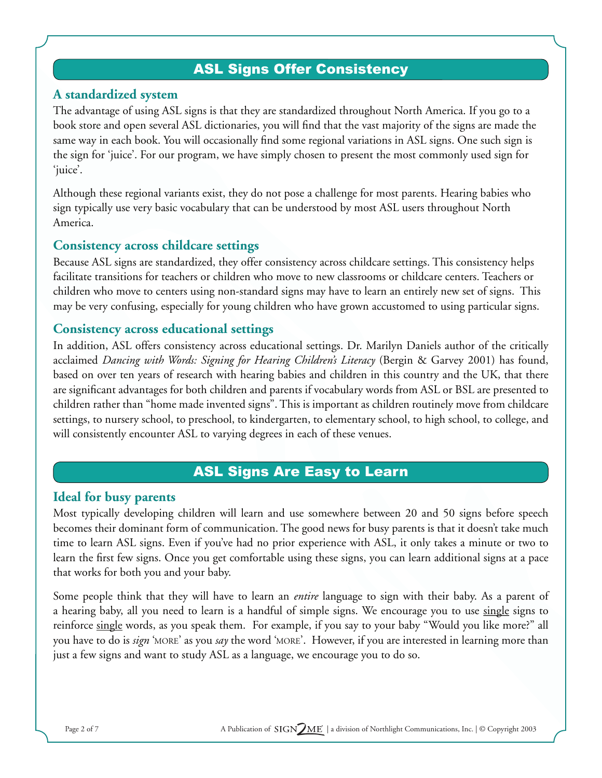## ASL Signs Offer Consistency

#### **A standardized system**

The advantage of using ASL signs is that they are standardized throughout North America. If you go to a book store and open several ASL dictionaries, you will find that the vast majority of the signs are made the same way in each book. You will occasionally find some regional variations in ASL signs. One such sign is the sign for 'juice'. For our program, we have simply chosen to present the most commonly used sign for 'juice'.

Although these regional variants exist, they do not pose a challenge for most parents. Hearing babies who sign typically use very basic vocabulary that can be understood by most ASL users throughout North America.

#### **Consistency across childcare settings**

Because ASL signs are standardized, they offer consistency across childcare settings. This consistency helps facilitate transitions for teachers or children who move to new classrooms or childcare centers. Teachers or children who move to centers using non-standard signs may have to learn an entirely new set of signs. This may be very confusing, especially for young children who have grown accustomed to using particular signs.

## **Consistency across educational settings**

In addition, ASL offers consistency across educational settings. Dr. Marilyn Daniels author of the critically acclaimed *Dancing with Words: Signing for Hearing Children's Literacy* (Bergin & Garvey 2001) has found, based on over ten years of research with hearing babies and children in this country and the UK, that there are significant advantages for both children and parents if vocabulary words from ASL or BSL are presented to children rather than "home made invented signs". This is important as children routinely move from childcare settings, to nursery school, to preschool, to kindergarten, to elementary school, to high school, to college, and will consistently encounter ASL to varying degrees in each of these venues.

## ASL Signs Are Easy to Learn

#### **Ideal for busy parents**

Most typically developing children will learn and use somewhere between 20 and 50 signs before speech becomes their dominant form of communication. The good news for busy parents is that it doesn't take much time to learn ASL signs. Even if you've had no prior experience with ASL, it only takes a minute or two to learn the first few signs. Once you get comfortable using these signs, you can learn additional signs at a pace that works for both you and your baby.

Some people think that they will have to learn an *entire* language to sign with their baby. As a parent of a hearing baby, all you need to learn is a handful of simple signs. We encourage you to use single signs to reinforce single words, as you speak them. For example, if you say to your baby "Would you like more?" all you have to do is *sign* 'MORE' as you *say* the word 'MORE'. However, if you are interested in learning more than just a few signs and want to study ASL as a language, we encourage you to do so.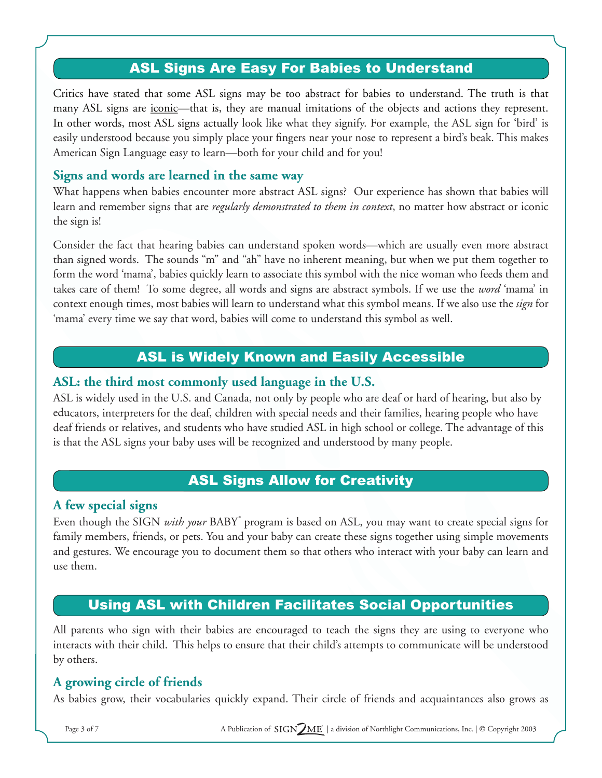## ASL Signs Are Easy For Babies to Understand

Critics have stated that some ASL signs may be too abstract for babies to understand. The truth is that many ASL signs are <u>iconic</u>—that is, they are manual imitations of the objects and actions they represent. In other words, most ASL signs actually look like what they signify. For example, the ASL sign for 'bird' is easily understood because you simply place your fingers near your nose to represent a bird's beak. This makes American Sign Language easy to learn—both for your child and for you!

## **Signs and words are learned in the same way**

What happens when babies encounter more abstract ASL signs? Our experience has shown that babies will learn and remember signs that are *regularly demonstrated to them in context*, no matter how abstract or iconic the sign is!

Consider the fact that hearing babies can understand spoken words—which are usually even more abstract than signed words. The sounds "m" and "ah" have no inherent meaning, but when we put them together to form the word 'mama', babies quickly learn to associate this symbol with the nice woman who feeds them and takes care of them! To some degree, all words and signs are abstract symbols. If we use the *word* 'mama' in context enough times, most babies will learn to understand what this symbol means. If we also use the *sign* for 'mama' every time we say that word, babies will come to understand this symbol as well.

## ASL is Widely Known and Easily Accessible

#### **ASL: the third most commonly used language in the U.S.**

ASL is widely used in the U.S. and Canada, not only by people who are deaf or hard of hearing, but also by educators, interpreters for the deaf, children with special needs and their families, hearing people who have deaf friends or relatives, and students who have studied ASL in high school or college. The advantage of this is that the ASL signs your baby uses will be recognized and understood by many people.

## ASL Signs Allow for Creativity

#### **A few special signs**

Even though the SIGN *with your* BABY<sup>®</sup> program is based on ASL, you may want to create special signs for family members, friends, or pets. You and your baby can create these signs together using simple movements and gestures. We encourage you to document them so that others who interact with your baby can learn and use them.

## Using ASL with Children Facilitates Social Opportunities

All parents who sign with their babies are encouraged to teach the signs they are using to everyone who interacts with their child. This helps to ensure that their child's attempts to communicate will be understood by others.

## **A growing circle of friends**

As babies grow, their vocabularies quickly expand. Their circle of friends and acquaintances also grows as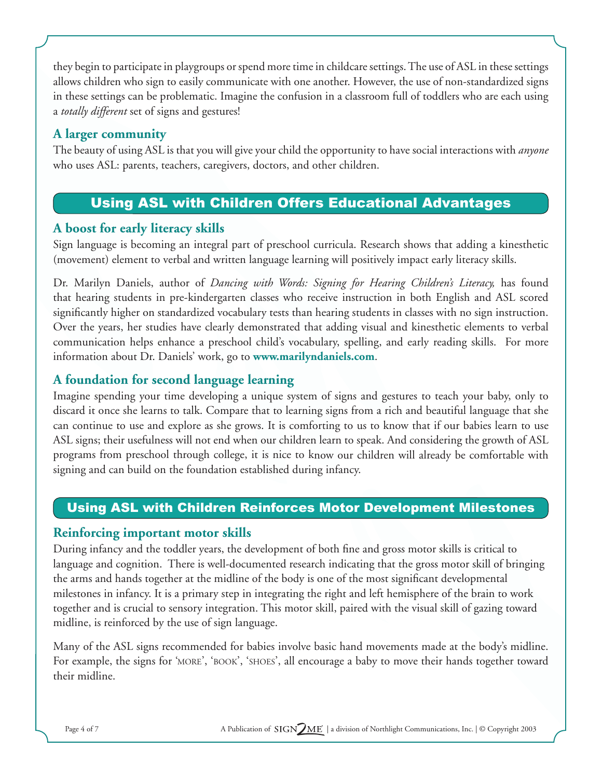they begin to participate in playgroups or spend more time in childcare settings. The use of ASL in these settings allows children who sign to easily communicate with one another. However, the use of non-standardized signs in these settings can be problematic. Imagine the confusion in a classroom full of toddlers who are each using <sup>a</sup>*totally different* set of signs and gestures!

## **A larger community**

The beauty of using ASL is that you will give your child the opportunity to have social interactions with *anyone* who uses ASL: parents, teachers, caregivers, doctors, and other children.

## Using ASL with Children Offers Educational Advantages

## **A boost for early literacy skills**

Sign language is becoming an integral part of preschool curricula. Research shows that adding a kinesthetic (movement) element to verbal and written language learning will positively impact early literacy skills.

Dr. Marilyn Daniels, author of *Dancing with Words: Signing for Hearing Children's Literacy,* has found that hearing students in pre-kindergarten classes who receive instruction in both English and ASL scored significantly higher on standardized vocabulary tests than hearing students in classes with no sign instruction. Over the years, her studies have clearly demonstrated that adding visual and kinesthetic elements to verbal communication helps enhance a preschool child's vocabulary, spelling, and early reading skills. For more information about Dr. Daniels' work, go to **www.marilyndaniels.com**.

## **A foundation for second language learning**

Imagine spending your time developing a unique system of signs and gestures to teach your baby, only to discard it once she learns to talk. Compare that to learning signs from a rich and beautiful language that she can continue to use and explore as she grows. It is comforting to us to know that if our babies learn to use ASL signs; their usefulness will not end when our children learn to speak. And considering the growth of ASL programs from preschool through college, it is nice to know our children will already be comfortable with signing and can build on the foundation established during infancy.

## Using ASL with Children Reinforces Motor Development Milestones

## **Reinforcing important motor skills**

During infancy and the toddler years, the development of both fine and gross motor skills is critical to language and cognition. There is well-documented research indicating that the gross motor skill of bringing the arms and hands together at the midline of the body is one of the most significant developmental milestones in infancy. It is a primary step in integrating the right and left hemisphere of the brain to work together and is crucial to sensory integration. This motor skill, paired with the visual skill of gazing toward midline, is reinforced by the use of sign language.

Many of the ASL signs recommended for babies involve basic hand movements made at the body's midline. For example, the signs for 'MORE', 'BOOK', 'SHOES', all encourage a baby to move their hands together toward their midline.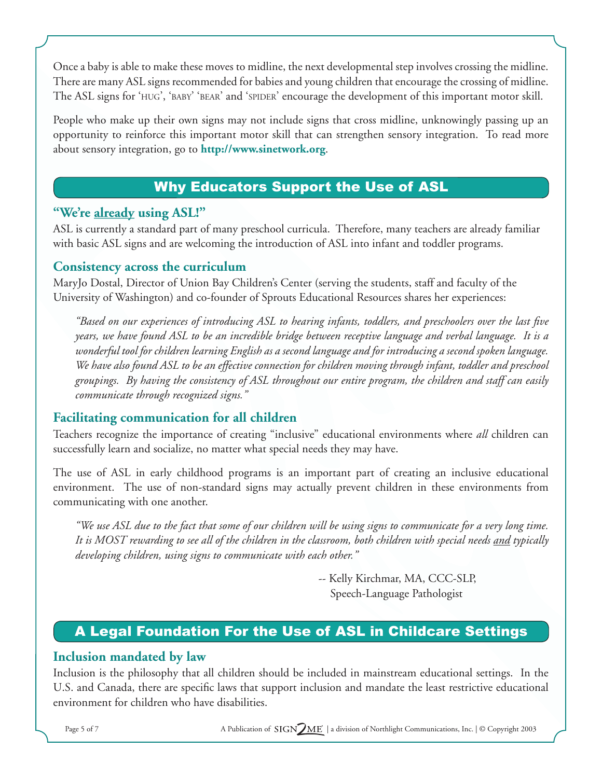Once a baby is able to make these moves to midline, the next developmental step involves crossing the midline. There are many ASL signs recommended for babies and young children that encourage the crossing of midline. The ASL signs for 'HUG', 'BABY' 'BEAR' and 'SPIDER' encourage the development of this important motor skill.

People who make up their own signs may not include signs that cross midline, unknowingly passing up an opportunity to reinforce this important motor skill that can strengthen sensory integration. To read more about sensory integration, go to **http://www.sinetwork.org**.

## Why Educators Support the Use of ASL

## **"We're already using ASL!"**

ASL is currently a standard part of many preschool curricula. Therefore, many teachers are already familiar with basic ASL signs and are welcoming the introduction of ASL into infant and toddler programs.

## **Consistency across the curriculum**

MaryJo Dostal, Director of Union Bay Children's Center (serving the students, staff and faculty of the University of Washington) and co-founder of Sprouts Educational Resources shares her experiences:

*"Based on our experiences of introducing ASL to hearing infants, toddlers, and preschoolers over the last five years, we have found ASL to be an incredible bridge between receptive language and verbal language. It is a wonderful tool for children learning English as a second language and for introducing a second spoken language. We have also found ASL to be an effective connection for children moving through infant, toddler and preschool groupings. By having the consistency of ASL throughout our entire program, the children and staff can easily communicate through recognized signs."*

## **Facilitating communication for all children**

Teachers recognize the importance of creating "inclusive" educational environments where *all* children can successfully learn and socialize, no matter what special needs they may have.

The use of ASL in early childhood programs is an important part of creating an inclusive educational environment. The use of non-standard signs may actually prevent children in these environments from communicating with one another.

*"We use ASL due to the fact that some of our children will be using signs to communicate for a very long time. It is MOST rewarding to see all of the children in the classroom, both children with special needs and typically developing children, using signs to communicate with each other."*

> -- Kelly Kirchmar, MA, CCC-SLP, Speech-Language Pathologist

## A Legal Foundation For the Use of ASL in Childcare Settings

## **Inclusion mandated by law**

Inclusion is the philosophy that all children should be included in mainstream educational settings. In the U.S. and Canada, there are specific laws that support inclusion and mandate the least restrictive educational environment for children who have disabilities.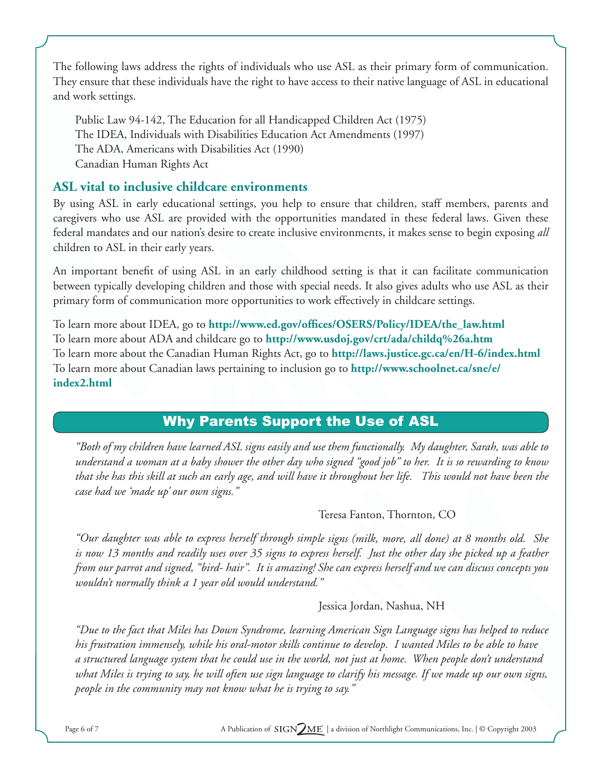The following laws address the rights of individuals who use ASL as their primary form of communication. They ensure that these individuals have the right to have access to their native language of ASL in educational and work settings.

Public Law 94-142, The Education for all Handicapped Children Act (1975) The IDEA, Individuals with Disabilities Education Act Amendments (1997) The ADA, Americans with Disabilities Act (1990) Canadian Human Rights Act

## **ASL vital to inclusive childcare environments**

By using ASL in early educational settings, you help to ensure that children, staff members, parents and caregivers who use ASL are provided with the opportunities mandated in these federal laws. Given these federal mandates and our nation's desire to create inclusive environments, it makes sense to begin exposing *all*  children to ASL in their early years.

An important benefit of using ASL in an early childhood setting is that it can facilitate communication between typically developing children and those with special needs. It also gives adults who use ASL as their primary form of communication more opportunities to work effectively in childcare settings.

To learn more about IDEA, go to **http://www.ed.gov/offices/OSERS/Policy/IDEA/the\_law.html** To learn more about ADA and childcare go to **http://www.usdoj.gov/crt/ada/childq%26a.htm** To learn more about the Canadian Human Rights Act, go to **http://laws.justice.gc.ca/en/H-6/index.html** To learn more about Canadian laws pertaining to inclusion go to **http://www.schoolnet.ca/sne/e/ index2.html**

## Why Parents Support the Use of ASL

*"Both of my children have learned ASL signs easily and use them functionally. My daughter, Sarah, was able to understand a woman at a baby shower the other day who signed "good job" to her. It is so rewarding to know that she has this skill at such an early age, and will have it throughout her life. This would not have been the case had we 'made up' our own signs."*

## Teresa Fanton, Thornton, CO

*"Our daughter was able to express herself through simple signs (milk, more, all done) at 8 months old. She is now 13 months and readily uses over 35 signs to express herself. Just the other day she picked up a feather from our parrot and signed, "bird- hair". It is amazing! She can express herself and we can discuss concepts you wouldn't normally think a 1 year old would understand."*

#### Jessica Jordan, Nashua, NH

*"Due to the fact that Miles has Down Syndrome, learning American Sign Language signs has helped to reduce his frustration immensely, while his oral-motor skills continue to develop. I wanted Miles to be able to have a structured language system that he could use in the world, not just at home. When people don't understand what Miles is trying to say, he will often use sign language to clarify his message. If we made up our own signs, people in the community may not know what he is trying to say."*